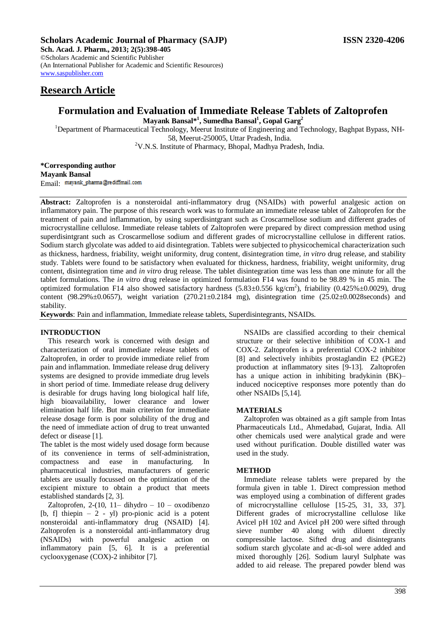## **Scholars Academic Journal of Pharmacy (SAJP) ISSN 2320-4206**

**Sch. Acad. J. Pharm., 2013; 2(5):398-405** ©Scholars Academic and Scientific Publisher (An International Publisher for Academic and Scientific Resources) [www.saspublisher.com](http://www.saspublisher.com/) 

# **Formulation and Evaluation of Immediate Release Tablets of Zaltoprofen**

**Mayank Bansal\*<sup>1</sup> , Sumedha Bansal<sup>1</sup> , Gopal Garg<sup>2</sup>**

<sup>1</sup>Department of Pharmaceutical Technology, Meerut Institute of Engineering and Technology, Baghpat Bypass, NH-58, Meerut-250005, Uttar Pradesh, India. <sup>2</sup>V.N.S. Institute of Pharmacy, Bhopal, Madhya Pradesh, India.

**\*Corresponding author Mayank Bansal** Email: mayank\_pharma@rediffmail.com

**Abstract:** Zaltoprofen is a nonsteroidal anti-inflammatory drug (NSAIDs) with powerful analgesic action on inflammatory pain. The purpose of this research work was to formulate an immediate release tablet of Zaltoprofen for the treatment of pain and inflammation, by using superdisintgrant such as Croscarmellose sodium and different grades of microcrystalline cellulose. Immediate release tablets of Zaltoprofen were prepared by direct compression method using superdisintgrant such as Croscarmellose sodium and different grades of microcrystalline cellulose in different ratios. Sodium starch glycolate was added to aid disintegration. Tablets were subjected to physicochemical characterization such as thickness, hardness, friability, weight uniformity, drug content, disintegration time, *in vitro* drug release, and stability study. Tablets were found to be satisfactory when evaluated for thickness, hardness, friability, weight uniformity, drug content, disintegration time and *in vitro* drug release. The tablet disintegration time was less than one minute for all the tablet formulations. The *in vitro* drug release in optimized formulation F14 was found to be 98.89 % in 45 min. The optimized formulation F14 also showed satisfactory hardness  $(5.83 \pm 0.556 \text{ kg/cm}^2)$ , friability  $(0.425\% \pm 0.0029)$ , drug content (98.29% $\pm$ 0.0657), weight variation (270.21 $\pm$ 0.2184 mg), disintegration time (25.02 $\pm$ 0.0028seconds) and stability.

**Keywords**: Pain and inflammation, Immediate release tablets, Superdisintegrants, NSAIDs.

## **INTRODUCTION**

This research work is concerned with design and characterization of oral immediate release tablets of Zaltoprofen, in order to provide immediate relief from pain and inflammation. Immediate release drug delivery systems are designed to provide immediate drug levels in short period of time. Immediate release drug delivery is desirable for drugs having long biological half life, high bioavailability, lower clearance and lower elimination half life. But main criterion for immediate release dosage form is poor solubility of the drug and the need of immediate action of drug to treat unwanted defect or disease [1].

The tablet is the most widely used dosage form because of its convenience in terms of self-administration, compactness and ease in manufacturing. In pharmaceutical industries, manufacturers of generic tablets are usually focussed on the optimization of the excipient mixture to obtain a product that meets established standards [2, 3].

Zaltoprofen, 2-(10, 11– dihydro – 10 – oxodibenzo [b, f] thiepin – 2 - yl) pro-pionic acid is a potent nonsteroidal anti-inflammatory drug (NSAID) [4]. Zaltoprofen is a nonsteroidal anti-inflammatory drug (NSAIDs) with powerful analgesic action on inflammatory pain [5, 6]. It is a preferential cyclooxygenase (COX)-2 inhibitor [7].

NSAIDs are classified according to their chemical structure or their selective inhibition of COX-1 and COX-2. Zaltoprofen is a preferential COX-2 inhibitor [8] and selectively inhibits prostaglandin E2 (PGE2) production at inflammatory sites [9-13]. Zaltoprofen has a unique action in inhibiting bradykinin (BK)– induced nociceptive responses more potently than do other NSAIDs [5,14].

## **MATERIALS**

Zaltoprofen was obtained as a gift sample from Intas Pharmaceuticals Ltd., Ahmedabad, Gujarat, India. All other chemicals used were analytical grade and were used without purification. Double distilled water was used in the study.

## **METHOD**

Immediate release tablets were prepared by the formula given in table 1. Direct compression method was employed using a combination of different grades of microcrystalline cellulose [15-25, 31, 33, 37]. Different grades of microcrystalline cellulose like Avicel pH 102 and Avicel pH 200 were sifted through sieve number 40 along with diluent directly compressible lactose. Sifted drug and disintegrants sodium starch glycolate and ac-di-sol were added and mixed thoroughly [26]. Sodium lauryl Sulphate was added to aid release. The prepared powder blend was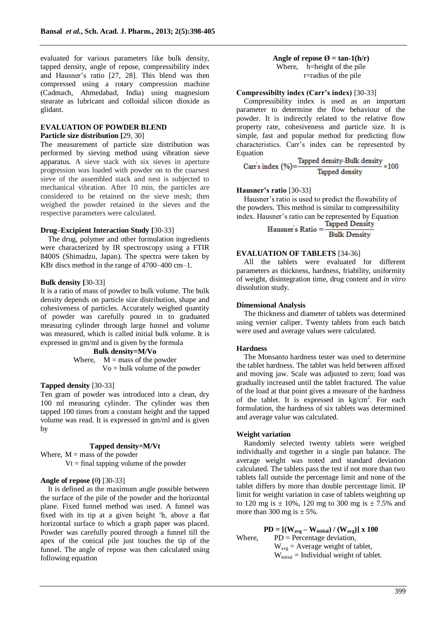evaluated for various parameters like bulk density, tapped density, angle of repose, compressibility index and Hausner's ratio [27, 28]. This blend was then compressed using a rotary compression machine (Cadmach, Ahmedabad, India) using magnesium stearate as lubricant and colloidal silicon dioxide as glidant.

## **EVALUATION OF POWDER BLEND Particle size distribution [**29, 30]

The measurement of particle size distribution was performed by sieving method using vibration sieve apparatus. A sieve stack with six sieves in aperture progression was loaded with powder on to the coarsest sieve of the assembled stack and nest is subjected to mechanical vibration. After 10 min, the particles are considered to be retained on the sieve mesh; then weighed the powder retained in the sieves and the respective parameters were calculated.

#### **Drug–Excipient Interaction Study [**30-33]

The drug, polymer and other formulation ingredients were characterized by IR spectroscopy using a FTIR 8400S (Shimadzu, Japan). The spectra were taken by KBr discs method in the range of 4700–400 cm–1.

## **Bulk density [**30-33]

It is a ratio of mass of powder to bulk volume. The bulk density depends on particle size distribution, shape and cohesiveness of particles. Accurately weighed quantity of powder was carefully poured in to graduated measuring cylinder through large funnel and volume was measured, which is called initial bulk volume. It is expressed in gm/ml and is given by the formula

> **Bulk density=M/Vo** Where,  $M =$  mass of the powder  $Vo = bulk$  volume of the powder

## **Tapped density** [30-33]

Ten gram of powder was introduced into a clean, dry 100 ml measuring cylinder. The cylinder was then tapped 100 times from a constant height and the tapped volume was read. It is expressed in gm/ml and is given by

## **Tapped density=M/Vt**

Where,  $M =$  mass of the powder  $Vt = final$  tapping volume of the powder

## **Angle of repose (**θ**)** [30-33]

It is defined as the maximum angle possible between the surface of the pile of the powder and the horizontal plane. Fixed funnel method was used. A funnel was fixed with its tip at a given height 'h, above a flat horizontal surface to which a graph paper was placed. Powder was carefully poured through a funnel till the apex of the conical pile just touches the tip of the funnel. The angle of repose was then calculated using following equation

## Angle of repose  $\emptyset$  = tan-1(h/r)

Where, h=height of the pile r=radius of the pile

#### **Compressibilty index (Carr's index)** [30-33]

Compressibility index is used as an important parameter to determine the flow behaviour of the powder. It is indirectly related to the relative flow property rate, cohesiveness and particle size. It is simple, fast and popular method for predicting flow characteristics. Carr's index can be represented by

Equation<br>Carr's index (%)= $\frac{\text{Tapped density-Bulk density}}{\text{Tapped density}} \times 100$ 

#### **Hausner's ratio** [30-33]

Hausner's ratio is used to predict the flowability of the powders. This method is similar to compressibility index. Hausner's ratio can be represented by Equation<br>
Tapped Density

Hausner's Ratio = **Bulk Density** 

## **EVALUATION OF TABLETS** [34-36]

All the tablets were evaluated for different parameters as thickness, hardness, friability, uniformity of weight, disintegration time, drug content and *in vitro* dissolution study.

## **Dimensional Analysis**

The thickness and diameter of tablets was determined using vernier caliper. Twenty tablets from each batch were used and average values were calculated.

#### **Hardness**

The Monsanto hardness tester was used to determine the tablet hardness. The tablet was held between affixed and moving jaw. Scale was adjusted to zero; load was gradually increased until the tablet fractured. The value of the load at that point gives a measure of the hardness of the tablet. It is expressed in  $\text{kg/cm}^2$ . For each formulation, the hardness of six tablets was determined and average value was calculated.

#### **Weight variation**

Randomly selected twenty tablets were weighed individually and together in a single pan balance. The average weight was noted and standard deviation calculated. The tablets pass the test if not more than two tablets fall outside the percentage limit and none of the tablet differs by more than double percentage limit. IP limit for weight variation in case of tablets weighting up to 120 mg is  $\pm$  10%, 120 mg to 300 mg is  $\pm$  7.5% and more than 300 mg is  $\pm$  5%.

 $\mathbf{PD} = [(\mathbf{W}_{\mathbf{avg}} - \mathbf{W}_{\text{initial}}) / (\mathbf{W}_{\mathbf{avg}})] \times 100$ Where,  $PD = Percentage deviation$ ,  $W_{\text{avg}} =$  Average weight of tablet,  $W_{initial} =$  Individual weight of tablet.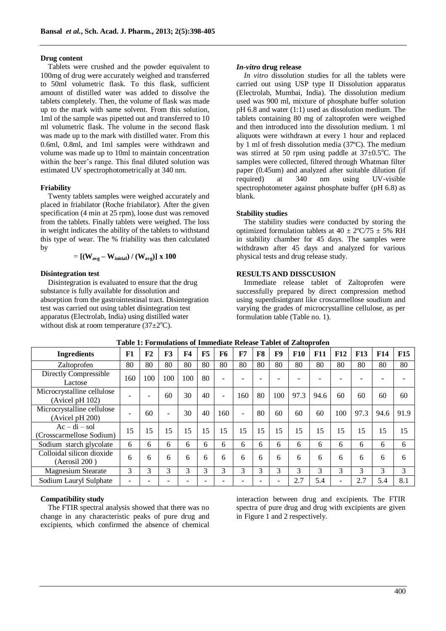#### **Drug content**

Tablets were crushed and the powder equivalent to 100mg of drug were accurately weighed and transferred to 50ml volumetric flask. To this flask, sufficient amount of distilled water was added to dissolve the tablets completely. Then, the volume of flask was made up to the mark with same solvent. From this solution, 1ml of the sample was pipetted out and transferred to 10 ml volumetric flask. The volume in the second flask was made up to the mark with distilled water. From this 0.6ml, 0.8ml, and 1ml samples were withdrawn and volume was made up to 10ml to maintain concentration within the beer's range. This final diluted solution was estimated UV spectrophotometrically at 340 nm.

#### **Friability**

Twenty tablets samples were weighed accurately and placed in friabilator (Roche friabilator). After the given specification (4 min at 25 rpm), loose dust was removed from the tablets. Finally tablets were weighed. The loss in weight indicates the ability of the tablets to withstand this type of wear. The % friability was then calculated by

$$
= \left[ \left( W_{avg} - W_{initial} \right) / \left( W_{avg} \right) \right] \times 100
$$

## **Disintegration test**

Disintegration is evaluated to ensure that the drug substance is fully available for dissolution and absorption from the gastrointestinal tract. Disintegration test was carried out using tablet disintegration test apparatus (Electrolab, India) using distilled water without disk at room temperature  $(37\pm2\degree C)$ .

#### *In-vitro* **drug release**

*In vitro* dissolution studies for all the tablets were carried out using USP type II Dissolution apparatus (Electrolab, Mumbai, India). The dissolution medium used was 900 ml, mixture of phosphate buffer solution pH 6.8 and water (1:1) used as dissolution medium. The tablets containing 80 mg of zaltoprofen were weighed and then introduced into the dissolution medium. 1 ml aliquots were withdrawn at every 1 hour and replaced by 1 ml of fresh dissolution media (37ºC). The medium was stirred at 50 rpm using paddle at  $37\pm0.5^{\circ}$ C. The samples were collected, filtered through Whatman filter paper (0.45um) and analyzed after suitable dilution (if required) at 340 nm using UV‐visible spectrophotometer against phosphate buffer (pH 6.8) as blank.

#### **Stability studies**

The stability studies were conducted by storing the optimized formulation tablets at  $40 \pm 2^{\circ}C/75 \pm 5\%$  RH in stability chamber for 45 days. The samples were withdrawn after 45 days and analyzed for various physical tests and drug release study.

## **RESULTS AND DISSCUSION**

Immediate release tablet of Zaltoprofen were successfully prepared by direct compression method using superdisintgrant like croscarmellose soudium and varying the grades of microcrystalline cellulose, as per formulation table (Table no. 1).

| rabic re-childrations of miniculate iterative rabice of <i>E</i> latoproten |     |                |     |                |    |                |     |    |     |            |      |            |            |                 |            |
|-----------------------------------------------------------------------------|-----|----------------|-----|----------------|----|----------------|-----|----|-----|------------|------|------------|------------|-----------------|------------|
| <b>Ingredients</b>                                                          | F1  | F <sub>2</sub> | F3  | F <sub>4</sub> | F5 | F <sub>6</sub> | F7  | F8 | F9  | <b>F10</b> | F11  | <b>F12</b> | <b>F13</b> | F <sub>14</sub> | <b>F15</b> |
| Zaltoprofen                                                                 | 80  | 80             | 80  | 80             | 80 | 80             | 80  | 80 | 80  | 80         | 80   | 80         | 80         | 80              | 80         |
| Directly Compressible<br>Lactose                                            | 160 | 100            | 100 | 100            | 80 | $\equiv$       |     |    |     |            |      |            |            |                 |            |
| Microcrystalline cellulose<br>(Avicel pH 102)                               |     |                | 60  | 30             | 40 | $\equiv$       | 160 | 80 | 100 | 97.3       | 94.6 | 60         | 60         | 60              | 60         |
| Microcrystalline cellulose<br>(Avicel pH 200)                               |     | 60             |     | 30             | 40 | 160            | ۰   | 80 | 60  | 60         | 60   | 100        | 97.3       | 94.6            | 91.9       |
| $Ac - di - sol$<br>(Crosscarmellose Sodium)                                 | 15  | 15             | 15  | 15             | 15 | 15             | 15  | 15 | 15  | 15         | 15   | 15         | 15         | 15              | 15         |
| Sodium starch glycolate                                                     | 6   | 6              | 6   | 6              | 6  | 6              | 6   | 6  | 6   | 6          | 6    | 6          | 6          | 6               | 6          |
| Colloidal silicon dioxide<br>(Aerosil 200)                                  | 6   | 6              | 6   | 6              | 6  | 6              | 6   | 6  | 6   | 6          | 6    | 6          | 6          | 6               | 6          |
| <b>Magnesium Stearate</b>                                                   | 3   | 3              | 3   | 3              | 3  | 3              | 3   | 3  | 3   | 3          | 3    | 3          | 3          | 3               | 3          |
| Sodium Lauryl Sulphate                                                      |     |                |     | ۰              |    |                |     |    | ٠   | 2.7        | 5.4  | ٠          | 2.7        | 5.4             | 8.1        |

## **Table 1: Formulations of Immediate Release Tablet of Zaltoprofen**

## **Compatibility study**

The FTIR spectral analysis showed that there was no change in any characteristic peaks of pure drug and excipients, which confirmed the absence of chemical interaction between drug and excipients. The FTIR spectra of pure drug and drug with excipients are given in Figure 1 and 2 respectively.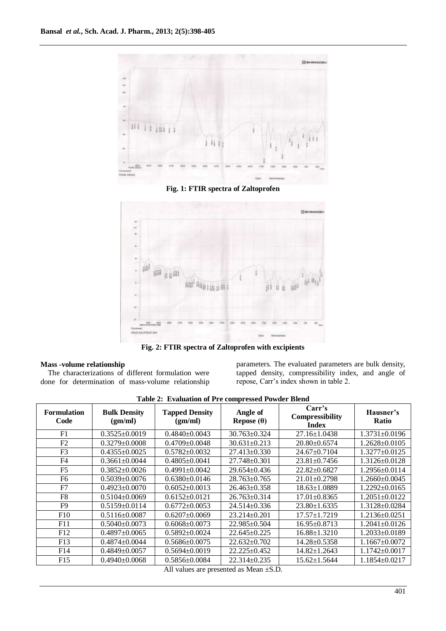

**Fig. 1: FTIR spectra of Zaltoprofen**



**Fig. 2: FTIR spectra of Zaltoprofen with excipients** 

## **Mass -volume relationship**

The characterizations of different formulation were done for determination of mass‐volume relationship

parameters. The evaluated parameters are bulk density, tapped density, compressibility index, and angle of repose, Carr's index shown in table 2.

| <b>Table 2: Evaluation of FTE Compressed Fowder Diellu</b> |                                |                                  |                               |                                                  |                           |  |  |  |  |  |  |  |
|------------------------------------------------------------|--------------------------------|----------------------------------|-------------------------------|--------------------------------------------------|---------------------------|--|--|--|--|--|--|--|
| <b>Formulation</b><br>Code                                 | <b>Bulk Density</b><br>(gm/ml) | <b>Tapped Density</b><br>(gm/ml) | Angle of<br>Repose $(\theta)$ | Carr's<br><b>Compressibility</b><br><b>Index</b> | Hausner's<br><b>Ratio</b> |  |  |  |  |  |  |  |
| F1                                                         | $0.3525 \pm 0.0019$            | $0.4840\pm0.0043$                | $30.763 \pm 0.324$            | $27.16 \pm 1.0438$                               | $1.3731 \pm 0.0196$       |  |  |  |  |  |  |  |
| F <sub>2</sub>                                             | $0.3279 \pm 0.0008$            | $0.4709 + 0.0048$                | $30.631 \pm 0.213$            | $20.80 \pm 0.6574$                               | $1.2628 \pm 0.0105$       |  |  |  |  |  |  |  |
| F <sub>3</sub>                                             | $0.4355+0.0025$                | $0.5782+0.0032$                  | $27.413 \pm 0.330$            | $24.67+0.7104$                                   | $1.3277 \pm 0.0125$       |  |  |  |  |  |  |  |
| F4                                                         | $0.3661 \pm 0.0044$            | $0.4805 \pm 0.0041$              | $27.748 \pm 0.301$            | $23.81 \pm 0.7456$                               | $1.3126 \pm 0.0128$       |  |  |  |  |  |  |  |
| F5                                                         | $0.3852 \pm 0.0026$            | $0.4991 + 0.0042$                | $29.654 \pm 0.436$            | $22.82 \pm 0.6827$                               | $1.2956 \pm 0.0114$       |  |  |  |  |  |  |  |
| F6                                                         | $0.5039 \pm 0.0076$            | $0.6380\pm0.0146$                | $28.763 \pm 0.765$            | $21.01 \pm 0.2798$                               | $1.2660\pm0.0045$         |  |  |  |  |  |  |  |
| F7                                                         | $0.4923+0.0070$                | $0.6052 \pm 0.0013$              | $26.463\pm0.358$              | $18.63 \pm 1.0889$                               | $1.2292 \pm 0.0165$       |  |  |  |  |  |  |  |
| F8                                                         | $0.5104 \pm 0.0069$            | $0.6152\pm0.0121$                | $26.763 \pm 0.314$            | $17.01 \pm 0.8365$                               | $1.2051 \pm 0.0122$       |  |  |  |  |  |  |  |
| F9                                                         | $0.5159+0.0114$                | $0.6772 \pm 0.0053$              | $24.514 \pm 0.336$            | $23.80 \pm 1.6335$                               | $1.3128 \pm 0.0284$       |  |  |  |  |  |  |  |
| F10                                                        | $0.5116 \pm 0.0087$            | $0.6207\pm0.0069$                | $23.214 \pm 0.201$            | $17.57 \pm 1.7219$                               | $1.2136 \pm 0.0251$       |  |  |  |  |  |  |  |
| F11                                                        | $0.5040\pm0.0073$              | $0.6068 \pm 0.0073$              | $22.985 \pm 0.504$            | $16.95 \pm 0.8713$                               | $1.2041 \pm 0.0126$       |  |  |  |  |  |  |  |
| F12                                                        | $0.4897 \pm 0.0065$            | $0.5892 \pm 0.0024$              | $22.645\pm0.225$              | $16.88 \pm 1.3210$                               | $1.2033 \pm 0.0189$       |  |  |  |  |  |  |  |
| F13                                                        | $0.4874 \pm 0.0044$            | $0.5686 \pm 0.0075$              | $22.632 \pm 0.702$            | 14.28±0.5358                                     | $1.1667 \pm 0.0072$       |  |  |  |  |  |  |  |
| F14                                                        | $0.4849 \pm 0.0057$            | $0.5694 \pm 0.0019$              | 22.225±0.452                  | 14.82±1.2643                                     | $1.1742 \pm 0.0017$       |  |  |  |  |  |  |  |
| F15                                                        | $0.4940\pm0.0068$              | $0.5856 \pm 0.0084$              | $22.314 \pm 0.235$            | $15.62 \pm 1.5644$                               | $1.1854 \pm 0.0217$       |  |  |  |  |  |  |  |

**Table 2: Evaluation of Pre compressed Powder Blend**

All values are presented as Mean ±S.D.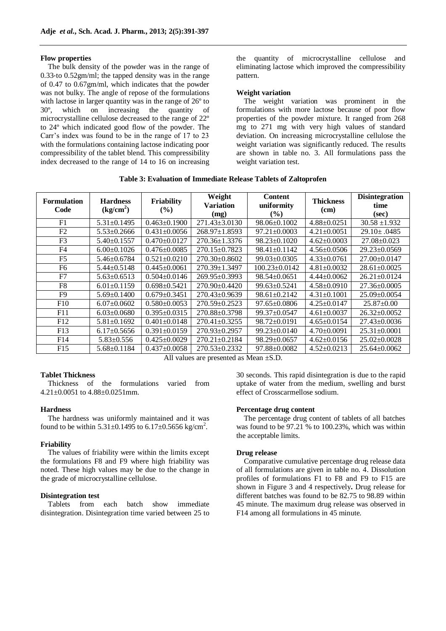#### **Flow properties**

The bulk density of the powder was in the range of 0.33‐to 0.52gm/ml; the tapped density was in the range of 0.47 to 0.67gm/ml, which indicates that the powder was not bulky. The angle of repose of the formulations with lactose in larger quantity was in the range of  $26^{\circ}$  to 30º, which on increasing the quantity of microcrystalline cellulose decreased to the range of 22º to 24º which indicated good flow of the powder. The Carr's index was found to be in the range of 17 to 23 with the formulations containing lactose indicating poor compressibility of the tablet blend. This compressibility index decreased to the range of 14 to 16 on increasing the quantity of microcrystalline cellulose and eliminating lactose which improved the compressibility pattern.

#### **Weight variation**

The weight variation was prominent in the formulations with more lactose because of poor flow properties of the powder mixture. It ranged from 268 mg to 271 mg with very high values of standard deviation. On increasing microcrystalline cellulose the weight variation was significantly reduced. The results are shown in table no. 3. All formulations pass the weight variation test.

**Table 3: Evaluation of Immediate Release Tablets of Zaltoprofen**

| <b>Formulation</b><br>Code | <b>Hardness</b><br>$\frac{\text{kg/cm}^2}{\text{m}^2}$ | Friability<br>$\frac{9}{6}$ | Weight<br><b>Variation</b><br>(mg) | <b>Content</b><br>uniformity<br>$\frac{6}{6}$ | <b>Thickness</b><br>(cm) | <b>Disintegration</b><br>time<br>(sec) |
|----------------------------|--------------------------------------------------------|-----------------------------|------------------------------------|-----------------------------------------------|--------------------------|----------------------------------------|
| F1                         | $5.31 \pm 0.1495$                                      | $0.463 \pm 0.1900$          | $271.43 \pm 3.0130$                | $98.06 \pm 0.1002$                            | $4.88 \pm 0.0251$        | $30.58 \pm 1.932$                      |
| F2                         | $5.53 \pm 0.2666$                                      | $0.431 \pm 0.0056$          | $268.97 \pm 1.8593$                | $97.21 \pm 0.0003$                            | $4.21 \pm 0.0051$        | $29.10 \pm .0485$                      |
| F <sub>3</sub>             | $5.40 \pm 0.1557$                                      | $0.470 \pm 0.0127$          | $270.36 \pm 1.3376$                | $98.23 \pm 0.1020$                            | $4.62 \pm 0.0003$        | $27.08 \pm 0.023$                      |
| F <sub>4</sub>             | $6.00 \pm 0.1026$                                      | $0.476 \pm 0.0085$          | $270.15 \pm 0.7823$                | $98.41 \pm 0.1142$                            | $4.56 \pm 0.0506$        | $29.23 \pm 0.0569$                     |
| F <sub>5</sub>             | $5.46 \pm 0.6784$                                      | $0.521 \pm 0.0210$          | $270.30\pm0.8602$                  | $99.03 \pm 0.0305$                            | $4.33 \pm 0.0761$        | $27.00 \pm 0.0147$                     |
| F6                         | $5.44 \pm 0.5148$                                      | $0.445 \pm 0.0061$          | $270.39 \pm 1.3497$                | $100.23 \pm 0.0142$                           | $4.81 \pm 0.0032$        | $28.61 \pm 0.0025$                     |
| F7                         | $5.63 \pm 0.6513$                                      | $0.504 + 0.0146$            | $269.95\pm0.3993$                  | $98.54 \pm 0.0651$                            | $4.44 \pm 0.0062$        | $26.21 \pm 0.0124$                     |
| F8                         | $6.01 \pm 0.1159$                                      | $0.698 \pm 0.5421$          | $270.90\pm0.4420$                  | $99.63 \pm 0.5241$                            | $4.58 \pm 0.0910$        | $27.36 \pm 0.0005$                     |
| F9                         | $5.69 \pm 0.1400$                                      | $0.679 \pm 0.3451$          | $270.43\pm0.9639$                  | $98.61 \pm 0.2142$                            | $4.31 \pm 0.1001$        | $25.09 + 0.0054$                       |
| F10                        | $6.07 \pm 0.0602$                                      | $0.580 \pm 0.0053$          | $270.59 \pm 0.2523$                | $97.65 \pm 0.0806$                            | $4.25 \pm 0.0147$        | $25.87 \pm 0.00$                       |
| F11                        | $6.03 \pm 0.0680$                                      | $0.395 \pm 0.0315$          | 270.88±0.3798                      | 99.37±0.0547                                  | $4.61 \pm 0.0037$        | $26.32 \pm 0.0052$                     |
| F12                        | $5.81 \pm 0.1692$                                      | $0.401 + 0.0148$            | $270.41 \pm 0.3255$                | $98.72 \pm 0.0191$                            | $4.65 \pm 0.0154$        | $27.43 \pm 0.0036$                     |
| F13                        | $6.17 \pm 0.5656$                                      | $0.391 \pm 0.0159$          | $270.93 \pm 0.2957$                | $99.23 \pm 0.0140$                            | $4.70 \pm 0.0091$        | $25.31 \pm 0.0001$                     |
| F14                        | $5.83 \pm 0.556$                                       | $0.425 \pm 0.0029$          | $270.21 \pm 0.2184$                | $98.29 \pm 0.0657$                            | $4.62 \pm 0.0156$        | $25.02 \pm 0.0028$                     |
| F15                        | $5.68 \pm 0.1184$                                      | $0.437 \pm 0.0058$          | $270.53 \pm 0.2332$                | $97.88 \pm 0.0082$                            | $4.52 \pm 0.0213$        | $25.64 \pm 0.0062$                     |

All values are presented as Mean ±S.D.

## **Tablet Thickness**

Thickness of the formulations varied from 4.21±0.0051 to 4.88±0.0251mm.

#### **Hardness**

The hardness was uniformly maintained and it was found to be within  $5.31 \pm 0.1495$  to  $6.17 \pm 0.5656$  kg/cm<sup>2</sup>.

#### **Friability**

The values of friability were within the limits except the formulations F8 and F9 where high friability was noted. These high values may be due to the change in the grade of microcrystalline cellulose.

#### **Disintegration test**

Tablets from each batch show immediate disintegration. Disintegration time varied between 25 to 30 seconds. This rapid disintegration is due to the rapid uptake of water from the medium, swelling and burst effect of Crosscarmellose sodium.

#### **Percentage drug content**

The percentage drug content of tablets of all batches was found to be 97.21 % to 100.23%, which was within the acceptable limits.

#### **Drug release**

Comparative cumulative percentage drug release data of all formulations are given in table no. 4. Dissolution profiles of formulations F1 to F8 and F9 to F15 are shown in Figure 3 and 4 respectively**.** Drug release for different batches was found to be 82.75 to 98.89 within 45 minute. The maximum drug release was observed in F14 among all formulations in 45 minute.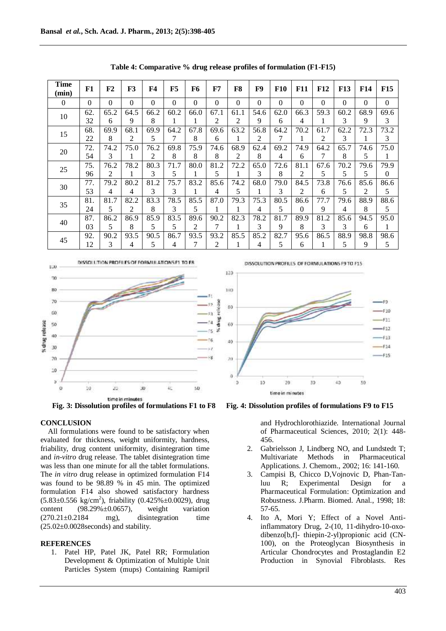| <b>Time</b><br>(min) | F1       | ${\bf F2}$ | F3       | F4           | F5       | F6       | F7       | F8       | F9       | <b>F10</b> | <b>F11</b>     | <b>F12</b> | <b>F13</b> | <b>F14</b>     | <b>F15</b>       |
|----------------------|----------|------------|----------|--------------|----------|----------|----------|----------|----------|------------|----------------|------------|------------|----------------|------------------|
| $\mathbf{0}$         | $\Omega$ | $\Omega$   | $\Omega$ | $\mathbf{0}$ | $\Omega$ | $\theta$ | $\theta$ | $\Omega$ | $\Omega$ | $\Omega$   | $\overline{0}$ | $\Omega$   | $\Omega$   | $\overline{0}$ | $\boldsymbol{0}$ |
| 10                   | 62.      | 65.2       | 64.5     | 66.2         | 60.2     | 66.0     | 67.1     | 61.1     | 54.6     | 62.0       | 66.3           | 59.3       | 60.2       | 68.9           | 69.6             |
|                      | 32       | 6          | 9        | 8            |          |          | 2        | 2        | 9        | 6          | 4              |            | 3          | 9              | 3                |
| 15                   | 68.      | 69.9       | 68.1     | 69.9         | 64.2     | 67.8     | 69.6     | 63.2     | 56.8     | 64.2       | 70.2           | 61.7       | 62.2       | 72.3           | 73.2             |
|                      | 22       | 8          | 2        | 5            |          | 8        | 6        | 1        | 2        | 7          |                | 2          | 3          |                | 3                |
| 20                   | 72.      | 74.2       | 75.0     | 76.2         | 69.8     | 75.9     | 74.6     | 68.9     | 62.4     | 69.2       | 74.9           | 64.2       | 65.7       | 74.6           | 75.0             |
|                      | 54       | 3          |          | 2            | 8        | 8        | 8        | 2        | 8        | 4          | 6              | 7          | 8          | 5              |                  |
| 25                   | 75.      | 76.2       | 78.2     | 80.3         | 71.7     | 80.0     | 81.2     | 72.2     | 65.0     | 72.6       | 81.1           | 67.6       | 70.2       | 79.6           | 79.9             |
|                      | 96       | 2          |          | 3            | 5        |          | 5        |          | 3        | 8          | 2              | 5          | 5          | 5              | $\Omega$         |
| 30                   | 77.      | 79.2       | 80.2     | 81.2         | 75.7     | 83.2     | 85.6     | 74.2     | 68.0     | 79.0       | 84.5           | 73.8       | 76.6       | 85.6           | 86.6             |
|                      | 53       | 4          | 4        | 3            | 3        |          | 4        | 5        |          | 3          | 2              | 6          | 5          | 2              | 5                |
| 35                   | 81.      | 81.7       | 82.2     | 83.3         | 78.5     | 85.5     | 87.0     | 79.3     | 75.3     | 80.5       | 86.6           | 77.7       | 79.6       | 88.9           | 88.6             |
|                      | 24       | 5          | 2        | 8            | 3        | 5        |          | 1        | 4        | 5          | $\theta$       | 9          | 4          | 8              | 5                |
| 40                   | 87.      | 86.2       | 86.9     | 85.9         | 83.5     | 89.6     | 90.2     | 82.3     | 78.2     | 81.7       | 89.9           | 81.2       | 85.6       | 94.5           | 95.0             |
|                      | 03       | 5          | 8        | 5            | 5        | 2        | 7        | 1        | 3        | 9          | 8              | 3          | 3          | 6              | 1                |
| 45                   | 92.      | 90.2       | 93.5     | 90.5         | 86.7     | 93.5     | 93.2     | 85.5     | 85.2     | 82.7       | 95.6           | 86.5       | 88.9       | 98.8           | 98.6             |
|                      | 12       | 3          | 4        | 5            | 4        | 7        | 2        | 1        | 4        | 5          | 6              |            | 5          | 9              | 5                |

**Table 4: Comparative % drug release profiles of formulation (F1-F15)**



**Fig. 3: Dissolution profiles of formulations F1 to F8 Fig. 4: Dissolution profiles of formulations F9 to F15**

## **CONCLUSION**

All formulations were found to be satisfactory when evaluated for thickness, weight uniformity, hardness, friability, drug content uniformity, disintegration time and *in-vitro* drug release. The tablet disintegration time was less than one minute for all the tablet formulations. The *in vitro* drug release in optimized formulation F14 was found to be 98.89 % in 45 min. The optimized formulation F14 also showed satisfactory hardness  $(5.83 \pm 0.556 \text{ kg/cm}^2)$ , friability  $(0.425\% \pm 0.0029)$ , drug content  $(98.29\% \pm 0.0657)$ , weight variation  $(270.21\pm0.2184$  mg), disintegration time  $(25.02\pm0.0028$ seconds) and stability.

## **REFERENCES**

1. Patel HP, Patel JK, Patel RR; Formulation Development & Optimization of Multiple Unit Particles System (mups) Containing Ramipril



and Hydrochlorothiazide. International Journal of Pharmaceutical Sciences, 2010; 2(1): 448- 456.

- 2. Gabrielsson J, Lindberg NO, and Lundstedt T; Multivariate Methods in Pharmaceutical Applications. J. Chemom., 2002; 16: 141-160.
- 3. Campisi B, Chicco D,Vojnovic D, Phan-Tanluu R; Experimental Design for a Pharmaceutical Formulation: Optimization and Robustness. J.Pharm. Biomed. Anal., 1998; 18: 57-65.
- 4. Ito A, Mori Y; Effect of a Novel Antiinflammatory Drug, 2-(10, 11-dihydro-10-oxodibenzo[b,f]- thiepin-2-yl)propionic acid (CN-100), on the Proteoglycan Biosynthesis in Articular Chondrocytes and Prostaglandin E2 Production in Synovial Fibroblasts. Res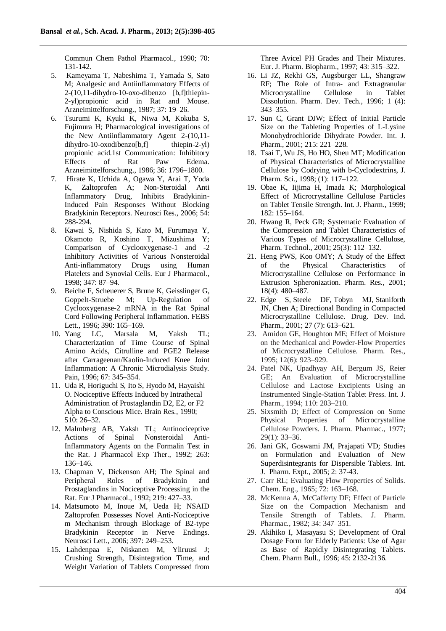Commun Chem Pathol Pharmacol., 1990; 70: 131-142.

- 5. Kameyama T, Nabeshima T, Yamada S, Sato M; Analgesic and Antiinflammatory Effects of 2-(10,11-dihydro-10-oxo-dibenzo [b,f]thiepin-2-yl)propionic acid in Rat and Mouse. Arzneimittelforschung., 1987; 37: 19–26.
- 6. Tsurumi K, Kyuki K, Niwa M, Kokuba S, Fujimura H; Pharmacological investigations of the New Antiinflammatory Agent 2-(10,11 dihydro-10-oxodibenzo[b,f] thiepin-2-yl) propionic acid.1st Communication: Inhibitory Effects of Rat Paw Edema. Arzneimittelforschung., 1986; 36: 1796–1800.
- 7. Hirate K, Uchida A, Ogawa Y, Arai T, Yoda K, Zaltoprofen A; Non-Steroidal Anti Inflammatory Drug, Inhibits Bradykinin-Induced Pain Responses Without Blocking Bradykinin Receptors. Neurosci Res., 2006; 54: 288-294.
- 8. Kawai S, Nishida S, Kato M, Furumaya Y, Okamoto R, Koshino T, Mizushima Y; Comparison of Cyclooxygenase-1 and -2 Inhibitory Activities of Various Nonsteroidal Anti-inflammatory Drugs using Human Platelets and Synovial Cells. Eur J Pharmacol., 1998; 347: 87–94.
- 9. Beiche F, Scheuerer S, Brune K, Geisslinger G, Goppelt-Struebe M; Up-Regulation of Cyclooxygenase-2 mRNA in the Rat Spinal Cord Following Peripheral Inflammation. FEBS Lett., 1996; 390: 165–169.
- 10. Yang LC, Marsala M, Yaksh TL; Characterization of Time Course of Spinal Amino Acids, Citrulline and PGE2 Release after Carrageenan/Kaolin-Induced Knee Joint Inflammation: A Chronic Microdialysis Study. Pain, 1996; 67: 345–354.
- 11. Uda R, Horiguchi S, Ito S, Hyodo M, Hayaishi O. Nociceptive Effects Induced by Intrathecal Administration of Prostaglandin D2, E2, or F2 Alpha to Conscious Mice. Brain Res., 1990; 510: 26–32.
- 12. Malmberg AB, Yaksh TL; Antinociceptive Actions of Spinal Nonsteroidal Anti-Inflammatory Agents on the Formalin Test in the Rat. J Pharmacol Exp Ther., 1992; 263: 136–146.
- 13. Chapman V, Dickenson AH; The Spinal and Peripheral Roles of Bradykinin and Prostaglandins in Nociceptive Processing in the Rat. Eur J Pharmacol., 1992; 219: 427–33.
- 14. Matsumoto M, Inoue M, Ueda H; NSAID Zaltoprofen Possesses Novel Anti-Nociceptive m Mechanism through Blockage of B2-type Bradykinin Receptor in Nerve Endings. Neurosci Lett., 2006; 397: 249–253.
- 15. Lahdenpaa E, Niskanen M, Yliruusi J; Crushing Strength, Disintegration Time, and Weight Variation of Tablets Compressed from

Three Avicel PH Grades and Their Mixtures. Eur. J. Pharm. Biopharm., 1997; 43: 315–322.

- 16. Li JZ, Rekhi GS, Augsburger LL, Shangraw RF; The Role of Intra- and Extragranular Microcrystalline Cellulose in Tablet Dissolution. Pharm. Dev. Tech., 1996; 1 (4): 343–355.
- 17. Sun C, Grant DJW; Effect of Initial Particle Size on the Tableting Properties of L-Lysine Monohydrochloride Dihydrate Powder. Int. J. Pharm., 2001; 215: 221–228.
- 18. Tsai T, Wu JS, Ho HO, Sheu MT; Modification of Physical Characteristics of Microcrystalline Cellulose by Codrying with b-Cyclodextrins, J. Pharm. Sci., 1998; (1): 117–122.
- 19. Obae K, Iijima H, Imada K; Morphological Effect of Microcrystalline Cellulose Particles on Tablet Tensile Strength. Int. J. Pharm., 1999; 182: 155–164.
- 20. Hwang R, Peck GR; Systematic Evaluation of the Compression and Tablet Characteristics of Various Types of Microcrystalline Cellulose, Pharm. Technol., 2001; 25(3): 112–132.
- 21. Heng PWS, Koo OMY; A Study of the Effect of the Physical Characteristics of Microcrystalline Cellulose on Performance in Extrusion Spheronization. Pharm. Res., 2001; 18(4): 480–487.
- 22. Edge S, Steele DF, Tobyn MJ, Staniforth JN, Chen A; Directional Bonding in Compacted Microcrystalline Cellulose. Drug. Dev. Ind. Pharm., 2001; 27 (7): 613–621.
- 23. Amidon GE, Houghton ME; Effect of Moisture on the Mechanical and Powder-Flow Properties of Microcrystalline Cellulose. Pharm. Res., 1995; 12(6): 923–929.
- 24. Patel NK, Upadhyay AH, Bergum JS, Reier GE; An Evaluation of Microcrystalline Cellulose and Lactose Excipients Using an Instrumented Single-Station Tablet Press. Int. J. Pharm., 1994; 110: 203–210.
- 25. Sixsmith D; Effect of Compression on Some Physical Properties of Microcrystalline Cellulose Powders. J. Pharm. Pharmac., 1977; 29(1): 33–36.
- 26. Jani GK, Goswami JM, Prajapati VD; Studies on Formulation and Evaluation of New Superdisintegrants for Dispersible Tablets. Int. J. Pharm. Expt., 2005; 2: 37-43.
- 27. Carr RL; Evaluating Flow Properties of Solids. Chem. Eng., 1965; 72: 163–168.
- 28. McKenna A, McCafferty DF; Effect of Particle Size on the Compaction Mechanism and Tensile Strength of Tablets. J. Pharm. Pharmac., 1982; 34: 347–351.
- 29. Akihiko I, Masayasu S; Development of Oral Dosage Form for Elderly Patients: Use of Agar as Base of Rapidly Disintegrating Tablets. Chem. Pharm Bull., 1996; 45: 2132-2136.